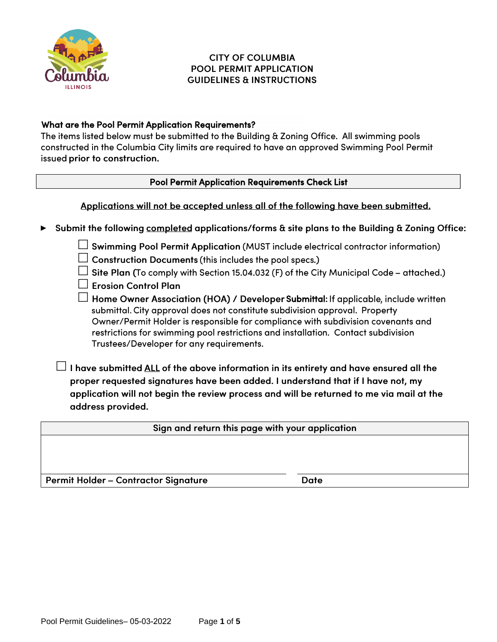

**►**

## **CITY OF COLUMBIA POOL PERMIT APPLICATION GUIDELINES & INSTRUCTIONS**

## What are the Pool Permit Application Requirements?

The items listed below must be submitted to the Building & Zoning Office. All swimming pools constructed in the Columbia City limits are required to have an approved Swimming Pool Permit issued prior to construction.

### Pool Permit Application Requirements Check List

Applications will not be accepted unless all of the following have been submitted.

Submit the following completed applications/forms & site plans to the Building & Zoning Office:  $\Box$  Swimming Pool Permit Application (MUST include electrical contractor information)  $\Box$  Construction Documents (this includes the pool specs.)  $\Box$  Site Plan (To comply with Section 15.04.032 (F) of the City Municipal Code – attached.)  $\Box$  Erosion Control Plan  $\Box$  Home Owner Association (HOA) / Developer Submittal: submittal. City approval does not constitute subdivision approval. Property Owner/Permit Holder is responsible for compliance with subdivision covenants and restrictions for swimming pool restrictions and installation. Contact subdivision Trustees/Developer for any requirements.  $\Box$  I have submitted <u>ALL</u> of the above information in its entirety and have ensured all the proper requested signatures have been added. I understand that if I have not, my application will not begin the review process and will be returned to me via mail at the address provided. Sign and return this page with your application

Permit Holder - Contractor Signature

**Date**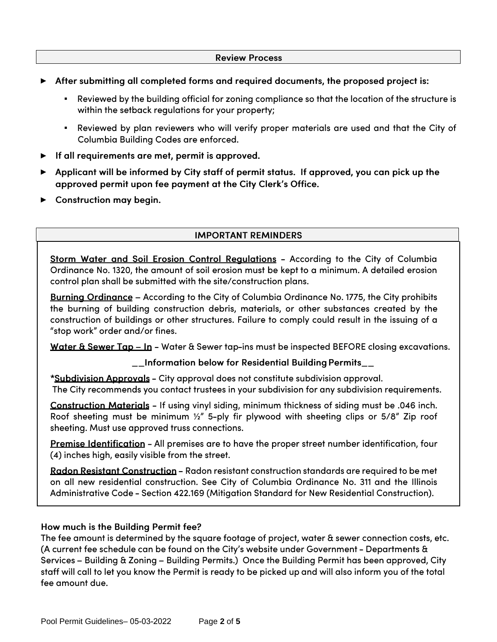#### **Review Process**

- After submitting all completed forms and required documents, the proposed project is: **►**
	- Reviewed by the building official for zoning compliance so that the location of the structure is within the setback regulations for your property;
	- Reviewed by plan reviewers who will verify proper materials are used and that the City of Columbia Building Codes are enforced.
- **►** If all requirements are met, permit is approved.
- ▶ Applicant will be informed by City staff of permit status. If approved, you can pick up the approved permit upon fee payment at the City Clerk's Office.
- ► Construction may begin.

### **IMPORTANT REMINDERS**

Storm Water and Soil Erosion Control Reaulations - According to the City of Columbia Ordinance No. 1320, the amount of soil erosion must be kept to a minimum. A detailed erosion control plan shall be submitted with the site/construction plans.

Burning Ordinance - According to the City of Columbia Ordinance No. 1775, the City prohibits the burning of building construction debris, materials, or other substances created by the construction of buildings or other structures. Failure to comply could result in the issuing of a "stop work" order and/or fines.

<u>Water & Sewer Tap – In</u> – Water & Sewer tap-ins must be inspected BEFORE closing excavations.

#### \_\_Information below for Residential Building Permits\_\_

\*Subdivision Approvals - City approval does not constitute subdivision approval. The City recommends you contact trustees in your subdivision for any subdivision requirements.

Construction Materials - If using vinyl siding, minimum thickness of siding must be .046 inch. Roof sheeting must be minimum 1/2" 5-ply fir plywood with sheeting clips or 5/8" Zip roof sheeting. Must use approved truss connections.

Premise Identification - All premises are to have the proper street number identification, four (4) inches high, easily visible from the street.

<u> Radon Resistant Construction</u> – Radon resistant construction standards are required to be met on all new residential construction. See City of Columbia Ordinance No. 311 and the Illinois Administrative Code - Section 422.169 (Mitigation Standard for New Residential Construction).

#### How much is the Building Permit fee?

The fee amount is determined by the square footage of project, water & sewer connection costs, etc. (A current fee schedule can be found on the City's website under Government - Departments & Services – Building & Zoning – Building Permits.) Once the Building Permit has been approved, City staff will call to let you know the Permit is ready to be picked up and will also inform you of the total fee amount due.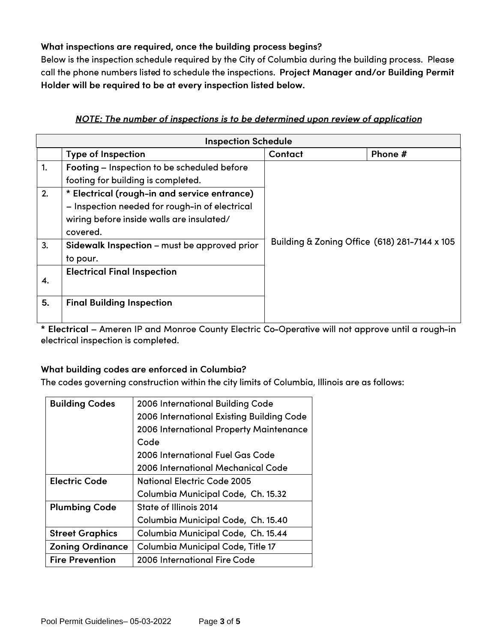# What inspections are required, once the building process begins?

Below is the inspection schedule required by the City of Columbia during the building process. Please call the phone numbers listed to schedule the inspections. Project Manager and/or Building Permit Holder will be required to be at every inspection listed below.

# NOTE: The number of inspections is to be determined upon review of application

| <b>Inspection Schedule</b> |                                                                                                                                                         |                                               |         |
|----------------------------|---------------------------------------------------------------------------------------------------------------------------------------------------------|-----------------------------------------------|---------|
|                            | <b>Type of Inspection</b>                                                                                                                               | <b>Contact</b>                                | Phone # |
| 1.                         | Footing - Inspection to be scheduled before                                                                                                             |                                               |         |
|                            | footing for building is completed.                                                                                                                      |                                               |         |
| 2.                         | * Electrical (rough-in and service entrance)<br>- Inspection needed for rough-in of electrical<br>wiring before inside walls are insulated/<br>covered. |                                               |         |
| 3.                         | Sidewalk Inspection - must be approved prior<br>to pour.                                                                                                | Building & Zoning Office (618) 281-7144 x 105 |         |
| 4.                         | <b>Electrical Final Inspection</b>                                                                                                                      |                                               |         |
| 5.                         | <b>Final Building Inspection</b>                                                                                                                        |                                               |         |

\* Electrical - Ameren IP and Monroe County Electric Co-Operative will not approve until a rough-in electrical inspection is completed.

## What building codes are enforced in Columbia?

The codes governing construction within the city limits of Columbia, Illinois are as follows:

| <b>Building Codes</b>   | 2006 International Building Code          |
|-------------------------|-------------------------------------------|
|                         | 2006 International Existing Building Code |
|                         | 2006 International Property Maintenance   |
|                         | Code                                      |
|                         | 2006 International Fuel Gas Code          |
|                         | 2006 International Mechanical Code        |
| <b>Electric Code</b>    | National Electric Code 2005               |
|                         | Columbia Municipal Code, Ch. 15.32        |
| <b>Plumbing Code</b>    | State of Illinois 2014                    |
|                         | Columbia Municipal Code, Ch. 15.40        |
| <b>Street Graphics</b>  | Columbia Municipal Code, Ch. 15.44        |
| <b>Zoning Ordinance</b> | Columbia Municipal Code, Title 17         |
| <b>Fire Prevention</b>  | 2006 International Fire Code              |
|                         |                                           |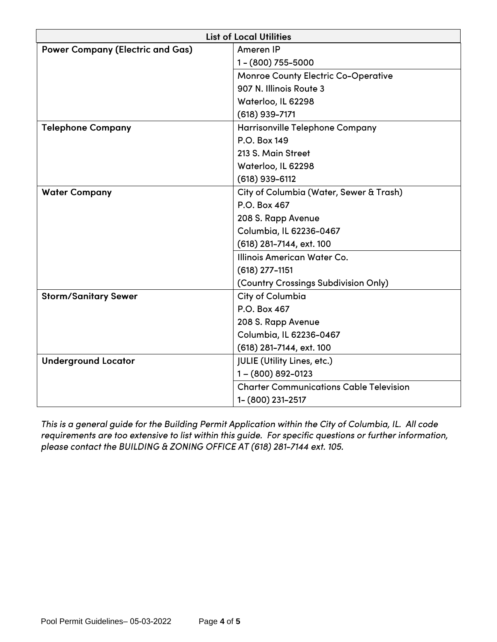| <b>List of Local Utilities</b>          |                                                |  |
|-----------------------------------------|------------------------------------------------|--|
| <b>Power Company (Electric and Gas)</b> | Ameren IP                                      |  |
|                                         | 1-(800) 755-5000                               |  |
|                                         | <b>Monroe County Electric Co-Operative</b>     |  |
|                                         | 907 N. Illinois Route 3                        |  |
|                                         | Waterloo, IL 62298                             |  |
|                                         | $(618)$ 939-7171                               |  |
| <b>Telephone Company</b>                | Harrisonville Telephone Company                |  |
|                                         | P.O. Box 149                                   |  |
|                                         | 213 S. Main Street                             |  |
|                                         | Waterloo, IL 62298                             |  |
|                                         | $(618)$ 939-6112                               |  |
| <b>Water Company</b>                    | City of Columbia (Water, Sewer & Trash)        |  |
|                                         | P.O. Box 467                                   |  |
|                                         | 208 S. Rapp Avenue                             |  |
|                                         | Columbia, IL 62236-0467                        |  |
|                                         | (618) 281-7144, ext. 100                       |  |
|                                         | Illinois American Water Co.                    |  |
|                                         | $(618)$ 277-1151                               |  |
|                                         | (Country Crossings Subdivision Only)           |  |
| <b>Storm/Sanitary Sewer</b>             | City of Columbia                               |  |
|                                         | P.O. Box 467                                   |  |
|                                         | 208 S. Rapp Avenue                             |  |
|                                         | Columbia, IL 62236-0467                        |  |
|                                         | (618) 281-7144, ext. 100                       |  |
| <b>Underground Locator</b>              | <b>JULIE</b> (Utility Lines, etc.)             |  |
|                                         | 1-(800) 892-0123                               |  |
|                                         | <b>Charter Communications Cable Television</b> |  |
|                                         | 1- (800) 231-2517                              |  |

This is a general guide for the Building Permit Application within the City of Columbia, IL. All code requirements are too extensive to list within this guide. For specific questions or further information, please contact the BUILDING & ZONING OFFICE AT (618) 281-7144 ext. 105.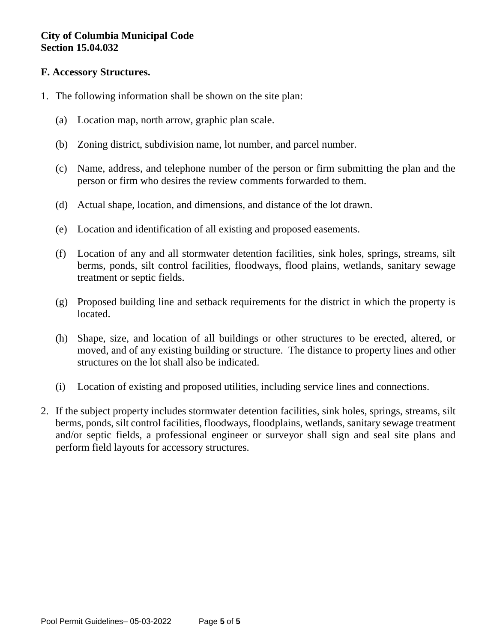# **City of Columbia Municipal Code Section 15.04.032**

## **F. Accessory Structures.**

- 1. The following information shall be shown on the site plan:
	- (a) Location map, north arrow, graphic plan scale.
	- (b) Zoning district, subdivision name, lot number, and parcel number.
	- (c) Name, address, and telephone number of the person or firm submitting the plan and the person or firm who desires the review comments forwarded to them.
	- (d) Actual shape, location, and dimensions, and distance of the lot drawn.
	- (e) Location and identification of all existing and proposed easements.
	- (f) Location of any and all stormwater detention facilities, sink holes, springs, streams, silt berms, ponds, silt control facilities, floodways, flood plains, wetlands, sanitary sewage treatment or septic fields.
	- (g) Proposed building line and setback requirements for the district in which the property is located.
	- (h) Shape, size, and location of all buildings or other structures to be erected, altered, or moved, and of any existing building or structure. The distance to property lines and other structures on the lot shall also be indicated.
	- (i) Location of existing and proposed utilities, including service lines and connections.
- 2. If the subject property includes stormwater detention facilities, sink holes, springs, streams, silt berms, ponds, silt control facilities, floodways, floodplains, wetlands, sanitary sewage treatment and/or septic fields, a professional engineer or surveyor shall sign and seal site plans and perform field layouts for accessory structures.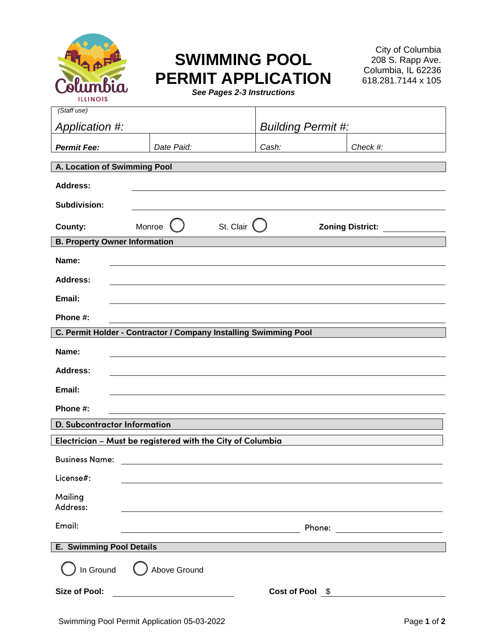

# **SWIMMING POOL PERMIT APPLICATION**

City of Columbia 208 S. Rapp Ave. Columbia, IL 62236 618.281.7144 x 105

|  |  |  | See Pages 2-3 Instructions |
|--|--|--|----------------------------|
|--|--|--|----------------------------|

| (Staff use)                          |                                                                  |                           |                                                                                                                      |  |
|--------------------------------------|------------------------------------------------------------------|---------------------------|----------------------------------------------------------------------------------------------------------------------|--|
| Application #:                       |                                                                  | <b>Building Permit #:</b> |                                                                                                                      |  |
| <b>Permit Fee:</b>                   | Date Paid:                                                       | Cash:                     | Check #:                                                                                                             |  |
| A. Location of Swimming Pool         |                                                                  |                           |                                                                                                                      |  |
| <b>Address:</b>                      |                                                                  |                           |                                                                                                                      |  |
| <b>Subdivision:</b>                  |                                                                  |                           |                                                                                                                      |  |
|                                      |                                                                  |                           |                                                                                                                      |  |
| County:                              | St. Clair $($<br>Monroe                                          |                           | <b>Zoning District:</b>                                                                                              |  |
| <b>B. Property Owner Information</b> |                                                                  |                           |                                                                                                                      |  |
| Name:                                |                                                                  |                           |                                                                                                                      |  |
| <b>Address:</b>                      |                                                                  |                           |                                                                                                                      |  |
| Email:                               |                                                                  |                           |                                                                                                                      |  |
| Phone #:                             |                                                                  |                           |                                                                                                                      |  |
|                                      | C. Permit Holder - Contractor / Company Installing Swimming Pool |                           |                                                                                                                      |  |
| Name:                                |                                                                  |                           |                                                                                                                      |  |
| Address:                             |                                                                  |                           |                                                                                                                      |  |
| Email:                               |                                                                  |                           |                                                                                                                      |  |
| Phone #:                             |                                                                  |                           |                                                                                                                      |  |
| D. Subcontractor Information         |                                                                  |                           |                                                                                                                      |  |
|                                      | Electrician - Must be registered with the City of Columbia       |                           |                                                                                                                      |  |
| <b>Business Name:</b>                |                                                                  |                           |                                                                                                                      |  |
| License#:                            |                                                                  |                           |                                                                                                                      |  |
| Mailing<br>Address:                  |                                                                  |                           |                                                                                                                      |  |
| Email:                               |                                                                  | Phone:                    | <u> 1980 - Jan Stein Stein Stein Stein Stein Stein Stein Stein Stein Stein Stein Stein Stein Stein Stein Stein S</u> |  |
| <b>E. Swimming Pool Details</b>      |                                                                  |                           |                                                                                                                      |  |
| In Ground                            | Above Ground                                                     |                           |                                                                                                                      |  |
| <b>Size of Pool:</b>                 | <u> 1980 - Johann Barbara, martin a</u>                          | Cost of Pool \$           |                                                                                                                      |  |